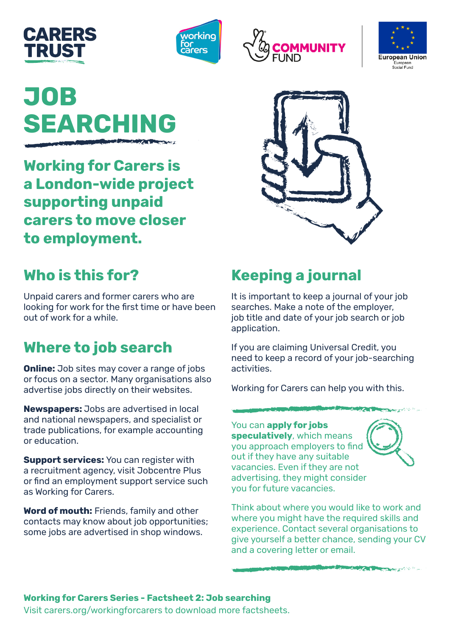







# **JOB SEARCHING**

**Working for Carers is a London-wide project supporting unpaid carers to move closer to employment.** 



## **Who is this for?**

Unpaid carers and former carers who are looking for work for the first time or have been out of work for a while.

## **Where to job search**

**Online:** Job sites may cover a range of jobs or focus on a sector. Many organisations also advertise jobs directly on their websites.

**Newspapers:** Jobs are advertised in local and national newspapers, and specialist or trade publications, for example accounting or education.

**Support services:** You can register with a recruitment agency, visit Jobcentre Plus or find an employment support service such as Working for Carers.

**Word of mouth:** Friends, family and other contacts may know about job opportunities; some jobs are advertised in shop windows.

## **Keeping a journal**

It is important to keep a journal of your job searches. Make a note of the employer, job title and date of your job search or job application.

If you are claiming Universal Credit, you need to keep a record of your job-searching activities.

Working for Carers can help you with this.

You can **apply for jobs speculatively**, which means you approach employers to find out if they have any suitable vacancies. Even if they are not advertising, they might consider you for future vacancies.



Think about where you would like to work and where you might have the required skills and experience. Contact several organisations to give yourself a better chance, sending your CV and a covering letter or email.

Aug/200

### **Working for Carers Series - Factsheet 2: Job searching**

Visit [carers.org/workingforcarers](http://www.carers.org/workingforcarers) to download more factsheets.